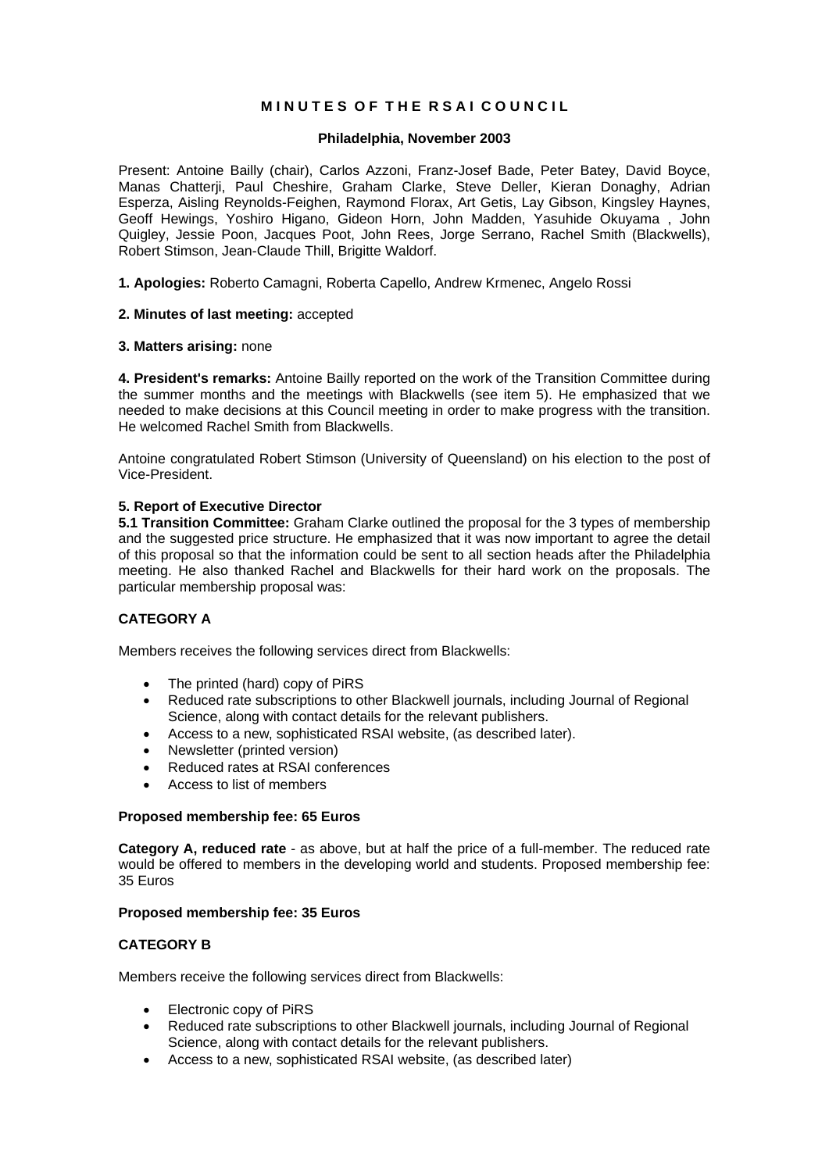# **MINUTES OF THE RSAI COUNCIL**

# **Philadelphia, November 2003**

Present: Antoine Bailly (chair), Carlos Azzoni, Franz-Josef Bade, Peter Batey, David Boyce, Manas Chatterji, Paul Cheshire, Graham Clarke, Steve Deller, Kieran Donaghy, Adrian Esperza, Aisling Reynolds-Feighen, Raymond Florax, Art Getis, Lay Gibson, Kingsley Haynes, Geoff Hewings, Yoshiro Higano, Gideon Horn, John Madden, Yasuhide Okuyama , John Quigley, Jessie Poon, Jacques Poot, John Rees, Jorge Serrano, Rachel Smith (Blackwells), Robert Stimson, Jean-Claude Thill, Brigitte Waldorf.

**1. Apologies:** Roberto Camagni, Roberta Capello, Andrew Krmenec, Angelo Rossi

## **2. Minutes of last meeting:** accepted

## **3. Matters arising:** none

**4. President's remarks:** Antoine Bailly reported on the work of the Transition Committee during the summer months and the meetings with Blackwells (see item 5). He emphasized that we needed to make decisions at this Council meeting in order to make progress with the transition. He welcomed Rachel Smith from Blackwells.

Antoine congratulated Robert Stimson (University of Queensland) on his election to the post of Vice-President.

## **5. Report of Executive Director**

**5.1 Transition Committee:** Graham Clarke outlined the proposal for the 3 types of membership and the suggested price structure. He emphasized that it was now important to agree the detail of this proposal so that the information could be sent to all section heads after the Philadelphia meeting. He also thanked Rachel and Blackwells for their hard work on the proposals. The particular membership proposal was:

# **CATEGORY A**

Members receives the following services direct from Blackwells:

- The printed (hard) copy of PiRS
- Reduced rate subscriptions to other Blackwell journals, including Journal of Regional Science, along with contact details for the relevant publishers.
- Access to a new, sophisticated RSAI website, (as described later).
- Newsletter (printed version)
- Reduced rates at RSAI conferences
- Access to list of members

### **Proposed membership fee: 65 Euros**

**Category A, reduced rate** - as above, but at half the price of a full-member. The reduced rate would be offered to members in the developing world and students. Proposed membership fee: 35 Euros

### **Proposed membership fee: 35 Euros**

# **CATEGORY B**

Members receive the following services direct from Blackwells:

- Electronic copy of PiRS
- Reduced rate subscriptions to other Blackwell journals, including Journal of Regional Science, along with contact details for the relevant publishers.
- Access to a new, sophisticated RSAI website, (as described later)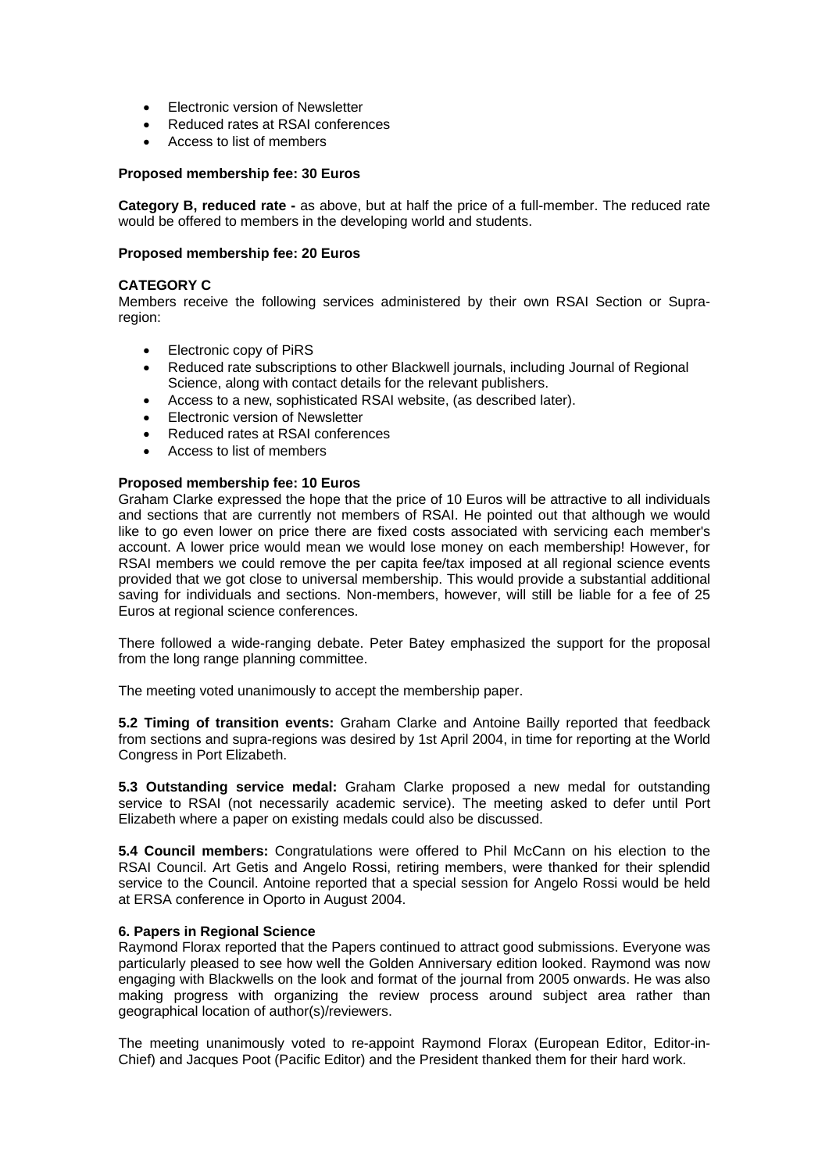- Electronic version of Newsletter
- Reduced rates at RSAI conferences
- Access to list of members

## **Proposed membership fee: 30 Euros**

**Category B, reduced rate -** as above, but at half the price of a full-member. The reduced rate would be offered to members in the developing world and students.

## **Proposed membership fee: 20 Euros**

## **CATEGORY C**

Members receive the following services administered by their own RSAI Section or Supraregion:

- Electronic copy of PiRS
- Reduced rate subscriptions to other Blackwell journals, including Journal of Regional Science, along with contact details for the relevant publishers.
- Access to a new, sophisticated RSAI website, (as described later).
- Electronic version of Newsletter
- Reduced rates at RSAI conferences
- Access to list of members

### **Proposed membership fee: 10 Euros**

Graham Clarke expressed the hope that the price of 10 Euros will be attractive to all individuals and sections that are currently not members of RSAI. He pointed out that although we would like to go even lower on price there are fixed costs associated with servicing each member's account. A lower price would mean we would lose money on each membership! However, for RSAI members we could remove the per capita fee/tax imposed at all regional science events provided that we got close to universal membership. This would provide a substantial additional saving for individuals and sections. Non-members, however, will still be liable for a fee of 25 Euros at regional science conferences.

There followed a wide-ranging debate. Peter Batey emphasized the support for the proposal from the long range planning committee.

The meeting voted unanimously to accept the membership paper.

**5.2 Timing of transition events:** Graham Clarke and Antoine Bailly reported that feedback from sections and supra-regions was desired by 1st April 2004, in time for reporting at the World Congress in Port Elizabeth.

**5.3 Outstanding service medal:** Graham Clarke proposed a new medal for outstanding service to RSAI (not necessarily academic service). The meeting asked to defer until Port Elizabeth where a paper on existing medals could also be discussed.

**5.4 Council members:** Congratulations were offered to Phil McCann on his election to the RSAI Council. Art Getis and Angelo Rossi, retiring members, were thanked for their splendid service to the Council. Antoine reported that a special session for Angelo Rossi would be held at ERSA conference in Oporto in August 2004.

### **6. Papers in Regional Science**

Raymond Florax reported that the Papers continued to attract good submissions. Everyone was particularly pleased to see how well the Golden Anniversary edition looked. Raymond was now engaging with Blackwells on the look and format of the journal from 2005 onwards. He was also making progress with organizing the review process around subject area rather than geographical location of author(s)/reviewers.

The meeting unanimously voted to re-appoint Raymond Florax (European Editor, Editor-in-Chief) and Jacques Poot (Pacific Editor) and the President thanked them for their hard work.